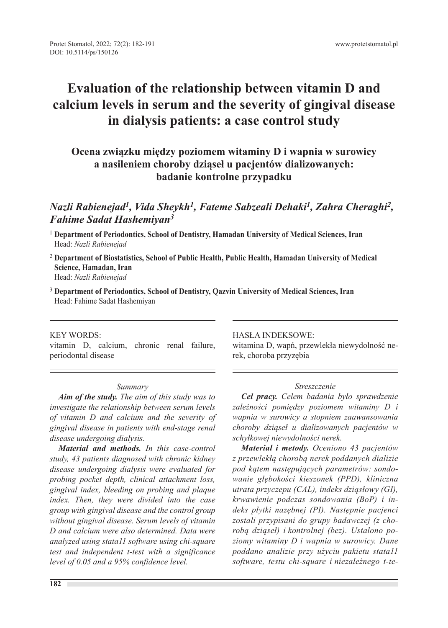# **Evaluation of the relationship between vitamin D and calcium levels in serum and the severity of gingival disease in dialysis patients: a case control study**

# **Ocena związku między poziomem witaminy D i wapnia w surowicy a nasileniem choroby dziąseł u pacjentów dializowanych: badanie kontrolne przypadku**

### *Nazli Rabienejad1, Vida Sheykh1, Fateme Sabzeali Dehaki1, Zahra Cheraghi2, Fahime Sadat Hashemiyan3*

- <sup>1</sup> **Department of Periodontics, School of Dentistry, Hamadan University of Medical Sciences, Iran** Head: *Nazli Rabienejad*
- <sup>2</sup> **Department of Biostatistics, School of Public Health, Public Health, Hamadan University of Medical Science, Hamadan, Iran** Head: *Nazli Rabienejad*
- <sup>3</sup> **Department of Periodontics, School of Dentistry, Qazvin University of Medical Sciences, Iran** Head: Fahime Sadat Hashemiyan

#### KEY WORDS:

vitamin D, calcium, chronic renal failure, periodontal disease

#### *Summary*

*Aim of the study. The aim of this study was to investigate the relationship between serum levels of vitamin D and calcium and the severity of gingival disease in patients with end-stage renal disease undergoing dialysis.*

*Material and methods. In this case-control study, 43 patients diagnosed with chronic kidney disease undergoing dialysis were evaluated for probing pocket depth, clinical attachment loss, gingival index, bleeding on probing and plaque index. Then, they were divided into the case group with gingival disease and the control group without gingival disease. Serum levels of vitamin D and calcium were also determined. Data were analyzed using stata11 software using chi-square test and independent t-test with a significance level of 0.05 and a 95% confidence level.*

HASŁA INDEKSOWE:

witamina D, wapń, przewlekła niewydolność nerek, choroba przyzębia

#### *Streszczenie*

*Cel pracy. Celem badania było sprawdzenie zależności pomiędzy poziomem witaminy D i wapnia w surowicy a stopniem zaawansowania choroby dziąseł u dializowanych pacjentów w schyłkowej niewydolności nerek.*

*Material i metody. Oceniono 43 pacjentów z przewlekłą chorobą nerek poddanych dializie pod kątem następujących parametrów: sondowanie głębokości kieszonek (PPD), kliniczna utrata przyczepu (CAL), indeks dziąsłowy (GI), krwawienie podczas sondowania (BoP) i indeks płytki nazębnej (PI). Następnie pacjenci zostali przypisani do grupy badawczej (z chorobą dziąseł) i kontrolnej (bez). Ustalono poziomy witaminy D i wapnia w surowicy. Dane poddano analizie przy użyciu pakietu stata11 software, testu chi-square i niezależnego t-te-*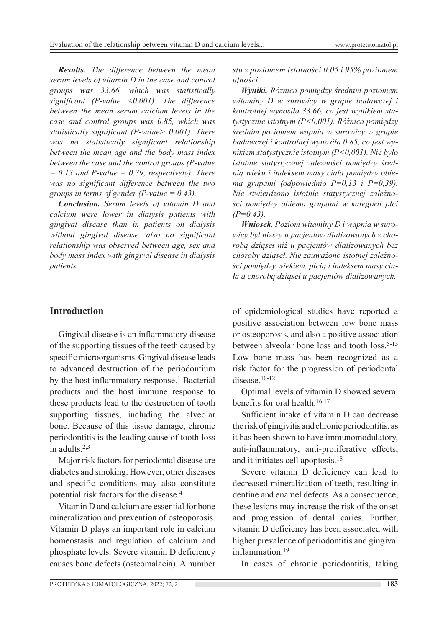*Results. The difference between the mean serum levels of vitamin D in the case and control groups was 33.66, which was statistically significant (P-value <0.001). The difference between the mean serum calcium levels in the case and control groups was 0.85, which was statistically significant (P-value> 0.001). There was no statistically significant relationship between the mean age and the body mass index between the case and the control groups (P-value*   $= 0.13$  and P-value  $= 0.39$ , respectively). There *was no significant difference between the two groups in terms of gender (P-value = 0.43).*

*Conclusion. Serum levels of vitamin D and calcium were lower in dialysis patients with gingival disease than in patients on dialysis without gingival disease, also no significant relationship was observed between age, sex and body mass index with gingival disease in dialysis patients.*

### **Introduction**

Gingival disease is an inflammatory disease of the supporting tissues of the teeth caused by specific microorganisms. Gingival disease leads to advanced destruction of the periodontium by the host inflammatory response.<sup>1</sup> Bacterial products and the host immune response to these products lead to the destruction of tooth supporting tissues, including the alveolar bone. Because of this tissue damage, chronic periodontitis is the leading cause of tooth loss in adults.2,3

Major risk factors for periodontal disease are diabetes and smoking. However, other diseases and specific conditions may also constitute potential risk factors for the disease.<sup>4</sup>

Vitamin D and calcium are essential for bone mineralization and prevention of osteoporosis. Vitamin D plays an important role in calcium homeostasis and regulation of calcium and phosphate levels. Severe vitamin D deficiency causes bone defects (osteomalacia). A number

*stu z poziomem istotności 0.05 i 95% poziomem ufności.*

*Wyniki. Różnica pomiędzy średnim poziomem witaminy D w surowicy w grupie badawczej i kontrolnej wynosiła 33.66, co jest wynikiem statystycznie istotnym (P<0,001). Różnica pomiędzy średnim poziomem wapnia w surowicy w grupie badawczej i kontrolnej wynosiła 0.85, co jest wynikiem statystycznie istotnym (P<0,001). Nie było istotnie statystycznej zależności pomiędzy średnią wieku i indeksem masy ciała pomiędzy obiema grupami (odpowiednio P=0,13 i P=0,39). Nie stwierdzono istotnie statystycznej zależności pomiędzy obiema grupami w kategorii płci (P=0,43).*

*Wniosek. Poziom witaminy D i wapnia w surowicy był niższy u pacjentów dializowanych z chorobą dziąseł niż u pacjentów dializowanych bez choroby dziąseł. Nie zauważono istotnej zależności pomiędzy wiekiem, płcią i indeksem masy ciała a chorobą dziąseł u pacjentów dializowanych.*

of epidemiological studies have reported a positive association between low bone mass or osteoporosis, and also a positive association between alveolar bone loss and tooth loss.<sup>5-15</sup> Low bone mass has been recognized as a risk factor for the progression of periodontal disease.10-12

Optimal levels of vitamin D showed several benefits for oral health.16,17

Sufficient intake of vitamin D can decrease the risk of gingivitis and chronic periodontitis, as it has been shown to have immunomodulatory, anti-inflammatory, anti-proliferative effects, and it initiates cell apoptosis.18

Severe vitamin D deficiency can lead to decreased mineralization of teeth, resulting in dentine and enamel defects. As a consequence, these lesions may increase the risk of the onset and progression of dental caries. Further, vitamin D deficiency has been associated with higher prevalence of periodontitis and gingival inflammation.19

In cases of chronic periodontitis, taking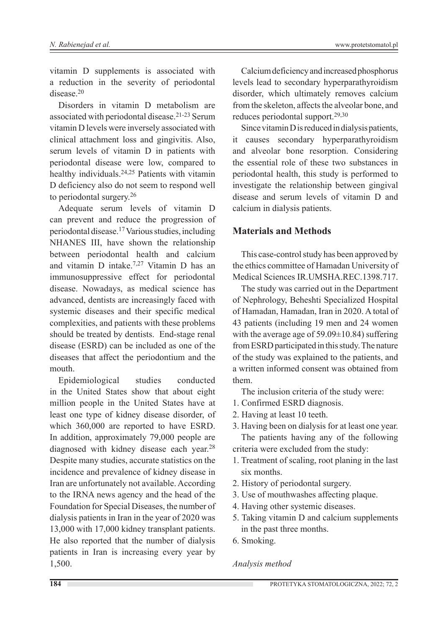vitamin D supplements is associated with a reduction in the severity of periodontal disease.20

Disorders in vitamin D metabolism are associated with periodontal disease.21-23 Serum vitamin D levels were inversely associated with clinical attachment loss and gingivitis. Also, serum levels of vitamin D in patients with periodontal disease were low, compared to healthy individuals.24,25 Patients with vitamin D deficiency also do not seem to respond well to periodontal surgery.26

Adequate serum levels of vitamin D can prevent and reduce the progression of periodontal disease.17 Various studies, including NHANES III, have shown the relationship between periodontal health and calcium and vitamin D intake.7,27 Vitamin D has an immunosuppressive effect for periodontal disease. Nowadays, as medical science has advanced, dentists are increasingly faced with systemic diseases and their specific medical complexities, and patients with these problems should be treated by dentists. End-stage renal disease (ESRD) can be included as one of the diseases that affect the periodontium and the mouth.

Epidemiological studies conducted in the United States show that about eight million people in the United States have at least one type of kidney disease disorder, of which 360,000 are reported to have ESRD. In addition, approximately 79,000 people are diagnosed with kidney disease each year.<sup>28</sup> Despite many studies, accurate statistics on the incidence and prevalence of kidney disease in Iran are unfortunately not available. According to the IRNA news agency and the head of the Foundation for Special Diseases, the number of dialysis patients in Iran in the year of 2020 was 13,000 with 17,000 kidney transplant patients. He also reported that the number of dialysis patients in Iran is increasing every year by 1,500.

Calcium deficiency and increased phosphorus levels lead to secondary hyperparathyroidism disorder, which ultimately removes calcium from the skeleton, affects the alveolar bone, and reduces periodontal support.29,30

Since vitamin D is reduced in dialysis patients, it causes secondary hyperparathyroidism and alveolar bone resorption. Considering the essential role of these two substances in periodontal health, this study is performed to investigate the relationship between gingival disease and serum levels of vitamin D and calcium in dialysis patients.

#### **Materials and Methods**

This case-control study has been approved by the ethics committee of Hamadan University of Medical Sciences IR.UMSHA.REC.1398.717.

The study was carried out in the Department of Nephrology, Beheshti Specialized Hospital of Hamadan, Hamadan, Iran in 2020. A total of 43 patients (including 19 men and 24 women with the average age of  $59.09 \pm 10.84$ ) suffering from ESRD participated in this study. The nature of the study was explained to the patients, and a written informed consent was obtained from them.

The inclusion criteria of the study were:

- 1. Confirmed ESRD diagnosis.
- 2. Having at least 10 teeth.

3. Having been on dialysis for at least one year. The patients having any of the following criteria were excluded from the study:

- 1. Treatment of scaling, root planing in the last six months.
- 2. History of periodontal surgery.
- 3. Use of mouthwashes affecting plaque.
- 4. Having other systemic diseases.
- 5. Taking vitamin D and calcium supplements in the past three months.
- 6. Smoking.

#### *Analysis method*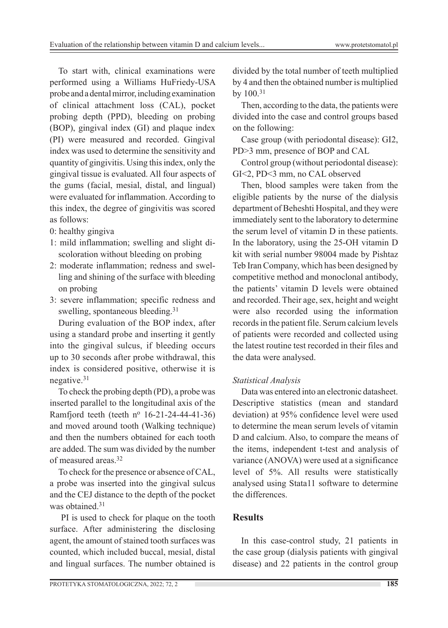To start with, clinical examinations were performed using a Williams HuFriedy-USA probe and a dental mirror, including examination of clinical attachment loss (CAL), pocket probing depth (PPD), bleeding on probing (BOP), gingival index (GI) and plaque index (PI) were measured and recorded. Gingival index was used to determine the sensitivity and quantity of gingivitis. Using this index, only the gingival tissue is evaluated. All four aspects of the gums (facial, mesial, distal, and lingual) were evaluated for inflammation. According to this index, the degree of gingivitis was scored as follows:

- 0: healthy gingiva
- 1: mild inflammation; swelling and slight discoloration without bleeding on probing
- 2: moderate inflammation; redness and swelling and shining of the surface with bleeding on probing
- 3: severe inflammation; specific redness and swelling, spontaneous bleeding.<sup>31</sup>

During evaluation of the BOP index, after using a standard probe and inserting it gently into the gingival sulcus, if bleeding occurs up to 30 seconds after probe withdrawal, this index is considered positive, otherwise it is negative.31

To check the probing depth (PD), a probe was inserted parallel to the longitudinal axis of the Ramfjord teeth (teeth  $n^{\circ}$  16-21-24-44-41-36) and moved around tooth (Walking technique) and then the numbers obtained for each tooth are added. The sum was divided by the number of measured areas.32

To check for the presence or absence of CAL, a probe was inserted into the gingival sulcus and the CEJ distance to the depth of the pocket was obtained.<sup>31</sup>

PI is used to check for plaque on the tooth surface. After administering the disclosing agent, the amount of stained tooth surfaces was counted, which included buccal, mesial, distal and lingual surfaces. The number obtained is divided by the total number of teeth multiplied by 4 and then the obtained number is multiplied by 100.<sup>31</sup>

Then, according to the data, the patients were divided into the case and control groups based on the following:

Case group (with periodontal disease): GI2, PD>3 mm, presence of BOP and CAL

Control group (without periodontal disease): GI<2, PD<3 mm, no CAL observed

Then, blood samples were taken from the eligible patients by the nurse of the dialysis department of Beheshti Hospital, and they were immediately sent to the laboratory to determine the serum level of vitamin D in these patients. In the laboratory, using the 25-OH vitamin D kit with serial number 98004 made by Pishtaz Teb Iran Company, which has been designed by competitive method and monoclonal antibody, the patients' vitamin D levels were obtained and recorded. Their age, sex, height and weight were also recorded using the information records in the patient file. Serum calcium levels of patients were recorded and collected using the latest routine test recorded in their files and the data were analysed.

### *Statistical Analysis*

Data was entered into an electronic datasheet. Descriptive statistics (mean and standard deviation) at 95% confidence level were used to determine the mean serum levels of vitamin D and calcium. Also, to compare the means of the items, independent t-test and analysis of variance (ANOVA) were used at a significance level of 5%. All results were statistically analysed using Stata11 software to determine the differences.

### **Results**

In this case-control study, 21 patients in the case group (dialysis patients with gingival disease) and 22 patients in the control group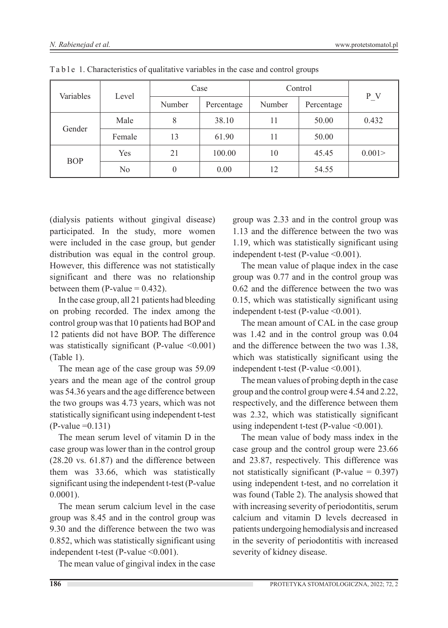| Variables  | Level  | Case   |            | Control |            |         |
|------------|--------|--------|------------|---------|------------|---------|
|            |        | Number | Percentage | Number  | Percentage | $P_{V}$ |
| Gender     | Male   | 8      | 38.10      | 11      | 50.00      | 0.432   |
|            | Female | 13     | 61.90      | 11      | 50.00      |         |
| <b>BOP</b> | Yes    | 21     | 100.00     | 10      | 45.45      | 0.001 > |
|            | No     | 0      | 0.00       | 12      | 54.55      |         |

 $Ta b 1e 1$ . Characteristics of qualitative variables in the case and control groups

(dialysis patients without gingival disease) participated. In the study, more women were included in the case group, but gender distribution was equal in the control group. However, this difference was not statistically significant and there was no relationship between them (P-value  $= 0.432$ ).

In the case group, all 21 patients had bleeding on probing recorded. The index among the control group was that 10 patients had BOP and 12 patients did not have BOP. The difference was statistically significant (P-value  $\leq 0.001$ ) (Table 1).

The mean age of the case group was 59.09 years and the mean age of the control group was 54.36 years and the age difference between the two groups was 4.73 years, which was not statistically significant using independent t-test  $(P-value = 0.131)$ 

The mean serum level of vitamin D in the case group was lower than in the control group (28.20 vs. 61.87) and the difference between them was 33.66, which was statistically significant using the independent t-test (P-value 0.0001).

The mean serum calcium level in the case group was 8.45 and in the control group was 9.30 and the difference between the two was 0.852, which was statistically significant using independent t-test (P-value < 0.001).

The mean value of gingival index in the case

group was 2.33 and in the control group was 1.13 and the difference between the two was 1.19, which was statistically significant using independent t-test (P-value < 0.001).

The mean value of plaque index in the case group was 0.77 and in the control group was 0.62 and the difference between the two was 0.15, which was statistically significant using independent t-test (P-value < 0.001).

The mean amount of CAL in the case group was 1.42 and in the control group was 0.04 and the difference between the two was 1.38, which was statistically significant using the independent t-test (P-value < 0.001).

The mean values of probing depth in the case group and the control group were 4.54 and 2.22, respectively, and the difference between them was 2.32, which was statistically significant using independent t-test (P-value <0.001).

The mean value of body mass index in the case group and the control group were 23.66 and 23.87, respectively. This difference was not statistically significant (P-value  $= 0.397$ ) using independent t-test, and no correlation it was found (Table 2). The analysis showed that with increasing severity of periodontitis, serum calcium and vitamin D levels decreased in patients undergoing hemodialysis and increased in the severity of periodontitis with increased severity of kidney disease.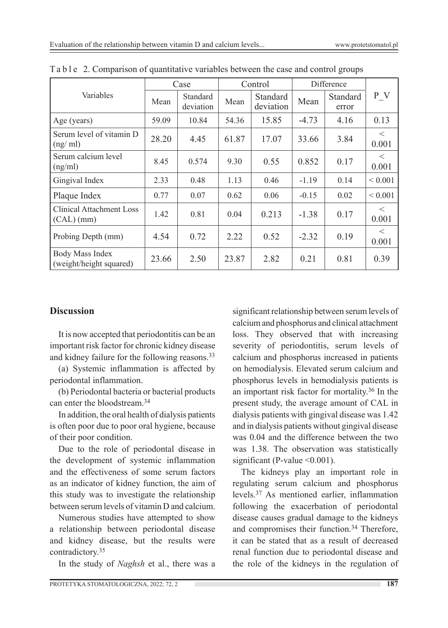|                                                   | Case  |                       | Control |                       | Difference |                   |                  |
|---------------------------------------------------|-------|-----------------------|---------|-----------------------|------------|-------------------|------------------|
| Variables                                         | Mean  | Standard<br>deviation | Mean    | Standard<br>deviation | Mean       | Standard<br>error | P V              |
| Age (years)                                       | 59.09 | 10.84                 | 54.36   | 15.85                 | $-4.73$    | 4.16              | 0.13             |
| Serum level of vitamin D<br>(ng/ml)               | 28.20 | 4.45                  | 61.87   | 17.07                 | 33.66      | 3.84              | $\lt$<br>0.001   |
| Serum calcium level<br>(ng/ml)                    | 8.45  | 0.574                 | 9.30    | 0.55                  | 0.852      | 0.17              | $\lt$<br>0.001   |
| Gingival Index                                    | 2.33  | 0.48                  | 1.13    | 0.46                  | $-1.19$    | 0.14              | ${}< 0.001$      |
| Plaque Index                                      | 0.77  | 0.07                  | 0.62    | 0.06                  | $-0.15$    | 0.02              | ${}< 0.001$      |
| <b>Clinical Attachment Loss</b><br>$(CAL)$ (mm)   | 1.42  | 0.81                  | 0.04    | 0.213                 | $-1.38$    | 0.17              | $\,<\,$<br>0.001 |
| Probing Depth (mm)                                | 4.54  | 0.72                  | 2.22    | 0.52                  | $-2.32$    | 0.19              | $\lt$<br>0.001   |
| <b>Body Mass Index</b><br>(weight/height squared) | 23.66 | 2.50                  | 23.87   | 2.82                  | 0.21       | 0.81              | 0.39             |

Ta b l e 2. Comparison of quantitative variables between the case and control groups

#### **Discussion**

It is now accepted that periodontitis can be an important risk factor for chronic kidney disease and kidney failure for the following reasons.<sup>33</sup>

(a) Systemic inflammation is affected by periodontal inflammation.

(b) Periodontal bacteria or bacterial products can enter the bloodstream.<sup>34</sup>

In addition, the oral health of dialysis patients is often poor due to poor oral hygiene, because of their poor condition.

Due to the role of periodontal disease in the development of systemic inflammation and the effectiveness of some serum factors as an indicator of kidney function, the aim of this study was to investigate the relationship between serum levels of vitamin D and calcium.

Numerous studies have attempted to show a relationship between periodontal disease and kidney disease, but the results were contradictory.35

In the study of *Naghsh* et al., there was a

significant relationship between serum levels of calcium and phosphorus and clinical attachment loss. They observed that with increasing severity of periodontitis, serum levels of calcium and phosphorus increased in patients on hemodialysis. Elevated serum calcium and phosphorus levels in hemodialysis patients is an important risk factor for mortality.36 In the present study, the average amount of CAL in dialysis patients with gingival disease was 1.42 and in dialysis patients without gingival disease was 0.04 and the difference between the two was 1.38. The observation was statistically significant (P-value  $\leq 0.001$ ).

The kidneys play an important role in regulating serum calcium and phosphorus levels.37 As mentioned earlier, inflammation following the exacerbation of periodontal disease causes gradual damage to the kidneys and compromises their function.34 Therefore, it can be stated that as a result of decreased renal function due to periodontal disease and the role of the kidneys in the regulation of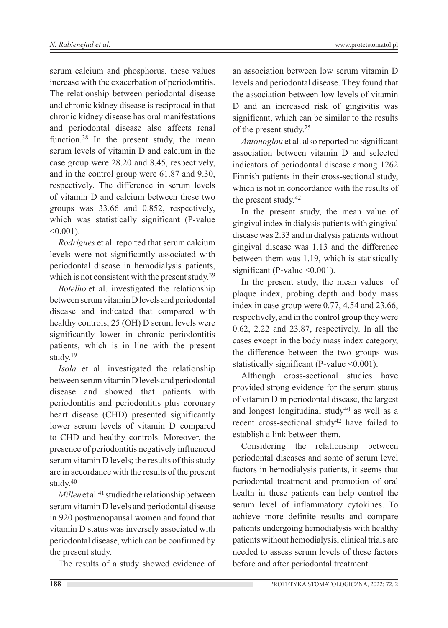serum calcium and phosphorus, these values increase with the exacerbation of periodontitis. The relationship between periodontal disease and chronic kidney disease is reciprocal in that chronic kidney disease has oral manifestations and periodontal disease also affects renal function.<sup>38</sup> In the present study, the mean serum levels of vitamin D and calcium in the case group were 28.20 and 8.45, respectively, and in the control group were 61.87 and 9.30, respectively. The difference in serum levels of vitamin D and calcium between these two groups was 33.66 and 0.852, respectively, which was statistically significant (P-value  $< 0.001$ ).

*Rodrigues* et al. reported that serum calcium levels were not significantly associated with periodontal disease in hemodialysis patients, which is not consistent with the present study.<sup>39</sup>

*Botelho* et al. investigated the relationship between serum vitamin D levels and periodontal disease and indicated that compared with healthy controls, 25 (OH) D serum levels were significantly lower in chronic periodontitis patients, which is in line with the present study.19

*Isola* et al. investigated the relationship between serum vitamin D levels and periodontal disease and showed that patients with periodontitis and periodontitis plus coronary heart disease (CHD) presented significantly lower serum levels of vitamin D compared to CHD and healthy controls. Moreover, the presence of periodontitis negatively influenced serum vitamin D levels; the results of this study are in accordance with the results of the present study.40

*Millen* et al.<sup>41</sup> studied the relationship between serum vitamin D levels and periodontal disease in 920 postmenopausal women and found that vitamin D status was inversely associated with periodontal disease, which can be confirmed by the present study.

The results of a study showed evidence of

an association between low serum vitamin D levels and periodontal disease. They found that the association between low levels of vitamin D and an increased risk of gingivitis was significant, which can be similar to the results of the present study.25

*Antonoglou* et al. also reported no significant association between vitamin D and selected indicators of periodontal disease among 1262 Finnish patients in their cross-sectional study, which is not in concordance with the results of the present study.42

In the present study, the mean value of gingival index in dialysis patients with gingival disease was 2.33 and in dialysis patients without gingival disease was 1.13 and the difference between them was 1.19, which is statistically significant (P-value < 0.001).

In the present study, the mean values of plaque index, probing depth and body mass index in case group were 0.77, 4.54 and 23.66, respectively, and in the control group they were 0.62, 2.22 and 23.87, respectively. In all the cases except in the body mass index category, the difference between the two groups was statistically significant (P-value <0.001).

Although cross-sectional studies have provided strong evidence for the serum status of vitamin D in periodontal disease, the largest and longest longitudinal study40 as well as a recent cross-sectional study<sup>42</sup> have failed to establish a link between them.

Considering the relationship between periodontal diseases and some of serum level factors in hemodialysis patients, it seems that periodontal treatment and promotion of oral health in these patients can help control the serum level of inflammatory cytokines. To achieve more definite results and compare patients undergoing hemodialysis with healthy patients without hemodialysis, clinical trials are needed to assess serum levels of these factors before and after periodontal treatment.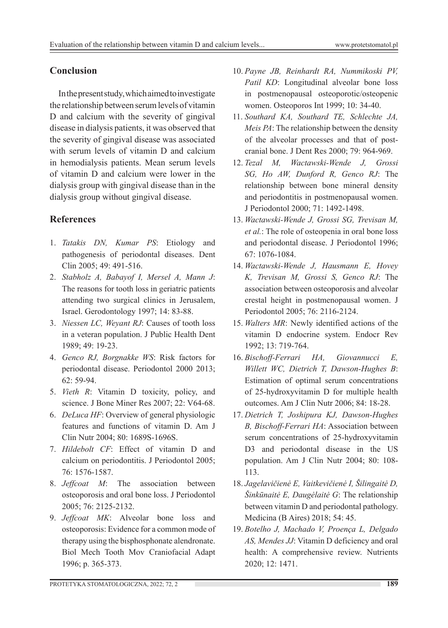# **Conclusion**

In the present study, which aimed to investigate the relationship between serum levels of vitamin D and calcium with the severity of gingival disease in dialysis patients, it was observed that the severity of gingival disease was associated with serum levels of vitamin D and calcium in hemodialysis patients. Mean serum levels of vitamin D and calcium were lower in the dialysis group with gingival disease than in the dialysis group without gingival disease.

# **References**

- 1. *Tatakis DN, Kumar PS*: Etiology and pathogenesis of periodontal diseases. Dent Clin 2005; 49: 491-516.
- 2. *Stabholz A, Babayof I, Mersel A, Mann J*: The reasons for tooth loss in geriatric patients attending two surgical clinics in Jerusalem, Israel. Gerodontology 1997; 14: 83-88.
- 3. *Niessen LC, Weyant RJ*: Causes of tooth loss in a veteran population. J Public Health Dent 1989; 49: 19-23.
- 4. *Genco RJ, Borgnakke WS*: Risk factors for periodontal disease. Periodontol 2000 2013; 62: 59-94.
- 5. *Vieth R*: Vitamin D toxicity, policy, and science. J Bone Miner Res 2007; 22: V64-68.
- 6. *DeLuca HF*: Overview of general physiologic features and functions of vitamin D. Am J Clin Nutr 2004; 80: 1689S-1696S.
- 7. *Hildebolt CF*: Effect of vitamin D and calcium on periodontitis. J Periodontol 2005; 76: 1576-1587.
- 8. *Jeffcoat M*: The association between osteoporosis and oral bone loss. J Periodontol 2005; 76: 2125-2132.
- 9. *Jeffcoat MK*: Alveolar bone loss and osteoporosis: Evidence for a common mode of therapy using the bisphosphonate alendronate. Biol Mech Tooth Mov Craniofacial Adapt 1996; p. 365-373.
- 10. *Payne JB, Reinhardt RA, Nummikoski PV,*  Patil KD: Longitudinal alveolar bone loss in postmenopausal osteoporotic/osteopenic women. Osteoporos Int 1999; 10: 34-40.
- 11. *Southard KA, Southard TE, Schlechte JA, Meis PA*: The relationship between the density of the alveolar processes and that of postcranial bone. J Dent Res 2000; 79: 964-969.
- 12. *Tezal M, Wactawski‐Wende J, Grossi SG, Ho AW, Dunford R, Genco RJ*: The relationship between bone mineral density and periodontitis in postmenopausal women. J Periodontol 2000; 71: 1492-1498.
- 13. *Wactawski‐Wende J, Grossi SG, Trevisan M, et al.*: The role of osteopenia in oral bone loss and periodontal disease. J Periodontol 1996; 67: 1076-1084.
- 14. *Wactawski‐Wende J, Hausmann E, Hovey K, Trevisan M, Grossi S, Genco RJ*: The association between osteoporosis and alveolar crestal height in postmenopausal women. J Periodontol 2005; 76: 2116-2124.
- 15. *Walters MR*: Newly identified actions of the vitamin D endocrine system. Endocr Rev 1992; 13: 719-764.
- 16. *Bischoff-Ferrari HA, Giovannucci E, Willett WC, Dietrich T, Dawson-Hughes B*: Estimation of optimal serum concentrations of 25-hydroxyvitamin D for multiple health outcomes. Am J Clin Nutr 2006; 84: 18-28.
- 17. *Dietrich T, Joshipura KJ, Dawson-Hughes B, Bischoff-Ferrari HA*: Association between serum concentrations of 25-hydroxyvitamin D3 and periodontal disease in the US population. Am J Clin Nutr 2004; 80: 108- 113.
- 18. *Jagelavičienė E, Vaitkevičienė I, Šilingaitė D, Šinkūnaitė E, Daugėlaitė G*: The relationship between vitamin D and periodontal pathology. Medicina (B Aires) 2018; 54: 45.
- 19. *Botelho J, Machado V, Proença L, Delgado AS, Mendes JJ*: Vitamin D deficiency and oral health: A comprehensive review. Nutrients 2020; 12: 1471.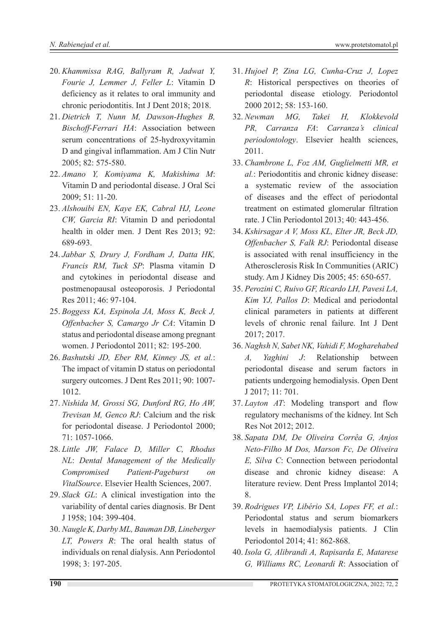- 20. *Khammissa RAG, Ballyram R, Jadwat Y, Fourie J, Lemmer J, Feller L*: Vitamin D deficiency as it relates to oral immunity and chronic periodontitis. Int J Dent 2018; 2018.
- 21. *Dietrich T, Nunn M, Dawson-Hughes B, Bischoff-Ferrari HA*: Association between serum concentrations of 25-hydroxyvitamin D and gingival inflammation. Am J Clin Nutr 2005; 82: 575-580.
- 22. *Amano Y, Komiyama K, Makishima M*: Vitamin D and periodontal disease. J Oral Sci 2009; 51: 11-20.
- 23. *Alshouibi EN, Kaye EK, Cabral HJ, Leone CW, Garcia RI*: Vitamin D and periodontal health in older men. J Dent Res 2013; 92: 689-693.
- 24. *Jabbar S, Drury J, Fordham J, Datta HK, Francis RM, Tuck SP*: Plasma vitamin D and cytokines in periodontal disease and postmenopausal osteoporosis. J Periodontal Res 2011; 46: 97-104.
- 25. *Boggess KA, Espinola JA, Moss K, Beck J, Offenbacher S, Camargo Jr CA*: Vitamin D status and periodontal disease among pregnant women. J Periodontol 2011; 82: 195-200.
- 26. *Bashutski JD, Eber RM, Kinney JS, et al.*: The impact of vitamin D status on periodontal surgery outcomes. J Dent Res 2011; 90: 1007- 1012.
- 27. *Nishida M, Grossi SG, Dunford RG, Ho AW, Trevisan M, Genco RJ*: Calcium and the risk for periodontal disease. J Periodontol 2000; 71: 1057-1066.
- 28. *Little JW, Falace D, Miller C, Rhodus NL*: *Dental Management of the Medically Compromised Patient-Pageburst on VitalSource*. Elsevier Health Sciences, 2007.
- 29. *Slack GL*: A clinical investigation into the variability of dental caries diagnosis. Br Dent J 1958; 104: 399-404.
- 30. *Naugle K, Darby ML, Bauman DB, Lineberger LT, Powers R*: The oral health status of individuals on renal dialysis. Ann Periodontol 1998; 3: 197-205.
- 31. *Hujoel P, Zina LG, Cunha‐Cruz J, Lopez R*: Historical perspectives on theories of periodontal disease etiology. Periodontol 2000 2012; 58: 153-160.
- 32. *Newman MG, Takei H, Klokkevold PR, Carranza FA*: *Carranza's clinical periodontology*. Elsevier health sciences, 2011.
- 33. *Chambrone L, Foz AM, Guglielmetti MR, et al.*: Periodontitis and chronic kidney disease: a systematic review of the association of diseases and the effect of periodontal treatment on estimated glomerular filtration rate. J Clin Periodontol 2013; 40: 443-456.
- 34. *Kshirsagar A V, Moss KL, Elter JR, Beck JD, Offenbacher S, Falk RJ*: Periodontal disease is associated with renal insufficiency in the Atherosclerosis Risk In Communities (ARIC) study. Am J Kidney Dis 2005; 45: 650-657.
- 35. *Perozini C, Ruivo GF, Ricardo LH, Pavesi LA, Kim YJ, Pallos D*: Medical and periodontal clinical parameters in patients at different levels of chronic renal failure. Int J Dent 2017; 2017.
- 36. *Naghsh N, Sabet NK, Vahidi F, Mogharehabed A, Yaghini J*: Relationship between periodontal disease and serum factors in patients undergoing hemodialysis. Open Dent J 2017; 11: 701.
- 37. *Layton AT*: Modeling transport and flow regulatory mechanisms of the kidney. Int Sch Res Not 2012; 2012.
- 38. *Sapata DM, De Oliveira Corrêa G, Anjos Neto-Filho M Dos, Marson Fc, De Oliveira E, Silva C*: Connection between periodontal disease and chronic kidney disease: A literature review. Dent Press Implantol 2014; 8.
- 39. *Rodrigues VP, Libério SA, Lopes FF, et al.*: Periodontal status and serum biomarkers levels in haemodialysis patients. J Clin Periodontol 2014; 41: 862-868.
- 40. *Isola G, Alibrandi A, Rapisarda E, Matarese G, Williams RC, Leonardi R*: Association of